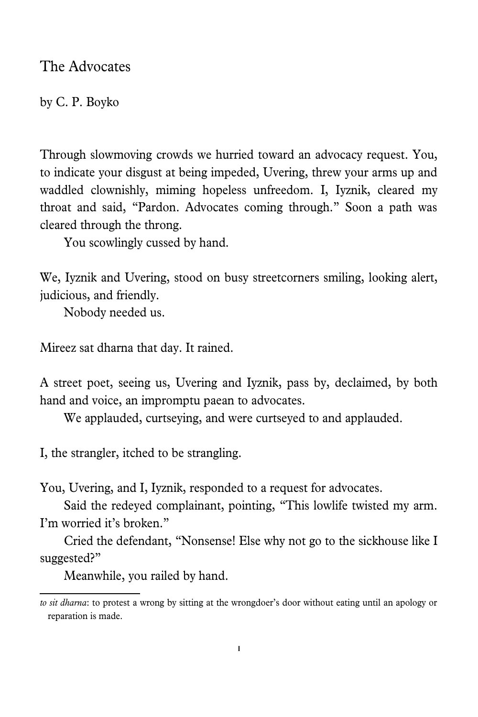The Advocates

by C. P. Boyko

Through slowmoving crowds we hurried toward an advocacy request. You, to indicate your disgust at being impeded, Uvering, threw your arms up and waddled clownishly, miming hopeless unfreedom. I, Iyznik, cleared my throat and said, "Pardon. Advocates coming through." Soon a path was cleared through the throng.

You scowlingly cussed by hand.

We, Iyznik and Uvering, stood on busy streetcorners smiling, looking alert, judicious, and friendly.

Nobody needed us.

Mireez sat dharna that day. It rained.

A street poet, seeing us, Uvering and Iyznik, pass by, declaimed, by both hand and voice, an impromptu paean to advocates.

We applauded, curtseying, and were curtseyed to and applauded.

I, the strangler, itched to be strangling.

You, Uvering, and I, Iyznik, responded to a request for advocates.

Said the redeyed complainant, pointing, "This lowlife twisted my arm. I'm worried it's broken."

Cried the defendant, "Nonsense! Else why not go to the sickhouse like I suggested?"

Meanwhile, you railed by hand.

*to sit dharna*: to protest a wrong by sitting at the wrongdoer's door without eating until an apology or reparation is made.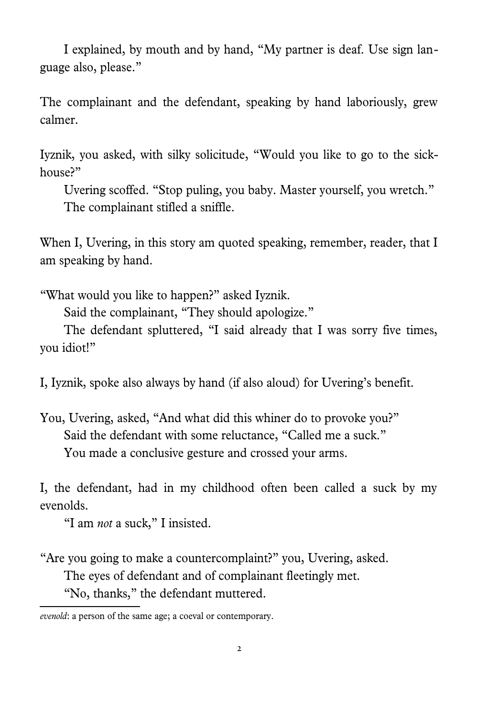I explained, by mouth and by hand, "My partner is deaf. Use sign language also, please."

The complainant and the defendant, speaking by hand laboriously, grew calmer.

Iyznik, you asked, with silky solicitude, "Would you like to go to the sickhouse?"

Uvering scoffed. "Stop puling, you baby. Master yourself, you wretch." The complainant stifled a sniffle.

When I, Uvering, in this story am quoted speaking, remember, reader, that I am speaking by hand.

"What would you like to happen?" asked Iyznik.

Said the complainant, "They should apologize."

The defendant spluttered, "I said already that I was sorry five times, you idiot!"

I, Iyznik, spoke also always by hand (if also aloud) for Uvering's benefit.

You, Uvering, asked, "And what did this whiner do to provoke you?" Said the defendant with some reluctance, "Called me a suck." You made a conclusive gesture and crossed your arms.

I, the defendant, had in my childhood often been called a suck by my evenolds.

"I am *not* a suck," I insisted.

"Are you going to make a countercomplaint?" you, Uvering, asked.

The eyes of defendant and of complainant fleetingly met.

"No, thanks," the defendant muttered.

*evenold*: a person of the same age; a coeval or contemporary.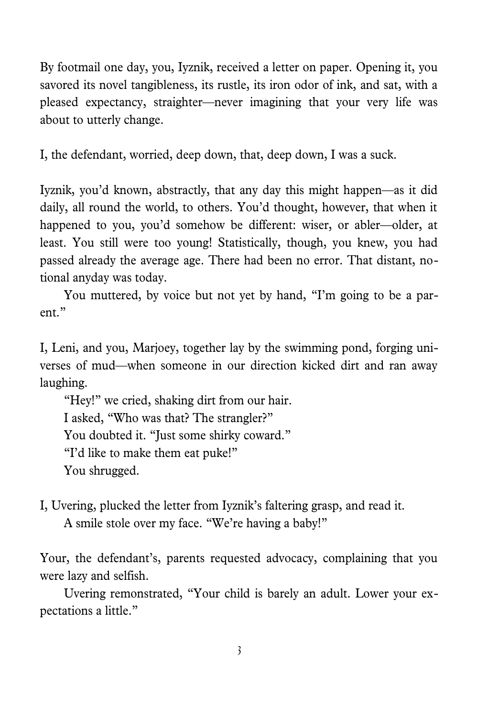By footmail one day, you, Iyznik, received a letter on paper. Opening it, you savored its novel tangibleness, its rustle, its iron odor of ink, and sat, with a pleased expectancy, straighter—never imagining that your very life was about to utterly change.

I, the defendant, worried, deep down, that, deep down, I was a suck.

Iyznik, you'd known, abstractly, that any day this might happen—as it did daily, all round the world, to others. You'd thought, however, that when it happened to you, you'd somehow be different: wiser, or abler—older, at least. You still were too young! Statistically, though, you knew, you had passed already the average age. There had been no error. That distant, notional anyday was today.

You muttered, by voice but not yet by hand, "I'm going to be a parent."

I, Leni, and you, Marjoey, together lay by the swimming pond, forging universes of mud—when someone in our direction kicked dirt and ran away laughing.

"Hey!" we cried, shaking dirt from our hair. I asked, "Who was that? The strangler?" You doubted it. "Just some shirky coward." "I'd like to make them eat puke!" You shrugged.

I, Uvering, plucked the letter from Iyznik's faltering grasp, and read it. A smile stole over my face. "We're having a baby!"

Your, the defendant's, parents requested advocacy, complaining that you were lazy and selfish.

Uvering remonstrated, "Your child is barely an adult. Lower your expectations a little."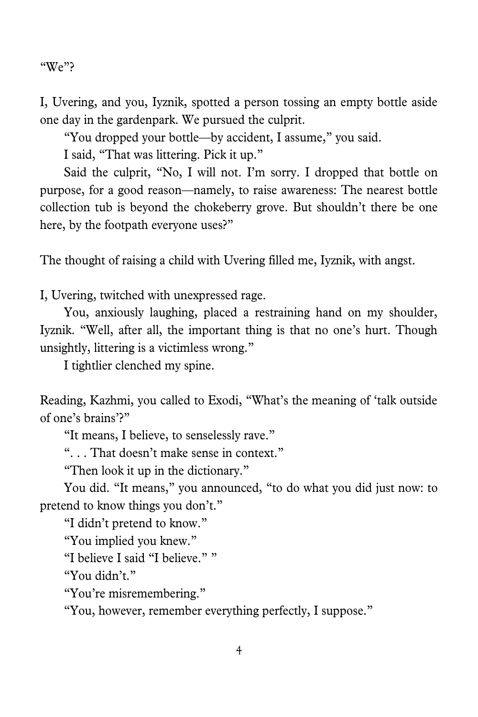"We"?

I, Uvering, and you, Iyznik, spotted a person tossing an empty bottle aside one day in the gardenpark. We pursued the culprit.

"You dropped your bottle—by accident, I assume," you said.

I said, "That was littering. Pick it up."

Said the culprit, "No, I will not. I'm sorry. I dropped that bottle on purpose, for a good reason—namely, to raise awareness: The nearest bottle collection tub is beyond the chokeberry grove. But shouldn't there be one here, by the footpath everyone uses?"

The thought of raising a child with Uvering filled me, Iyznik, with angst.

I, Uvering, twitched with unexpressed rage.

You, anxiously laughing, placed a restraining hand on my shoulder, Iyznik. "Well, after all, the important thing is that no one's hurt. Though unsightly, littering is a victimless wrong."

I tightlier clenched my spine.

Reading, Kazhmi, you called to Exodi, "What's the meaning of 'talk outside of one's brains'?"

"It means, I believe, to senselessly rave."

". . . That doesn't make sense in context."

"Then look it up in the dictionary."

You did. "It means," you announced, "to do what you did just now: to pretend to know things you don't."

"I didn't pretend to know."

"You implied you knew."

"I believe I said "I believe.""

"You didn't."

"You're misremembering."

"You, however, remember everything perfectly, I suppose."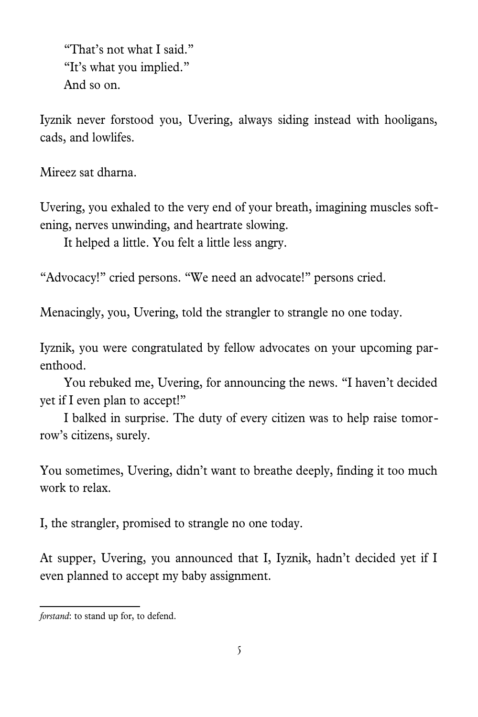"That's not what I said." "It's what you implied." And so on.

Iyznik never forstoo[d](#page-4-0) you, Uvering, always siding instead with hooligans, cads, and lowlifes.

Mireez sat dharna.

Uvering, you exhaled to the very end of your breath, imagining muscles softening, nerves unwinding, and heartrate slowing.

It helped a little. You felt a little less angry.

"Advocacy!" cried persons. "We need an advocate!" persons cried.

Menacingly, you, Uvering, told the strangler to strangle no one today.

Iyznik, you were congratulated by fellow advocates on your upcoming parenthood.

You rebuked me, Uvering, for announcing the news. "I haven't decided yet if I even plan to accept!"

I balked in surprise. The duty of every citizen was to help raise tomorrow's citizens, surely.

You sometimes, Uvering, didn't want to breathe deeply, finding it too much work to relax.

I, the strangler, promised to strangle no one today.

At supper, Uvering, you announced that I, Iyznik, hadn't decided yet if I even planned to accept my baby assignment.

<span id="page-4-0"></span>*forstand*: to stand up for, to defend.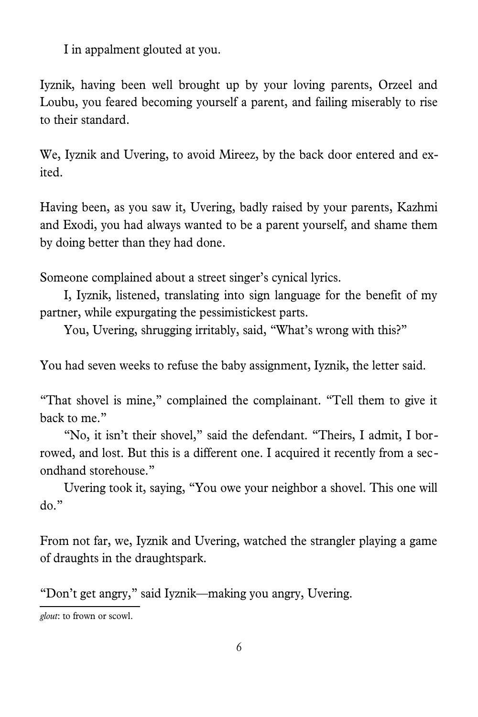I in appalment glouted at you.

Iyznik, having been well brought up by your loving parents, Orzeel and Loubu, you feared becoming yourself a parent, and failing miserably to rise to their standard.

We, Iyznik and Uvering, to avoid Mireez, by the back door entered and exited.

Having been, as you saw it, Uvering, badly raised by your parents, Kazhmi and Exodi, you had always wanted to be a parent yourself, and shame them by doing better than they had done.

Someone complained about a street singer's cynical lyrics.

I, Iyznik, listened, translating into sign language for the benefit of my partner, while expurgating the pessimistickest parts.

You, Uvering, shrugging irritably, said, "What's wrong with this?"

You had seven weeks to refuse the baby assignment, Iyznik, the letter said.

"That shovel is mine," complained the complainant. "Tell them to give it back to me."

"No, it isn't their shovel," said the defendant. "Theirs, I admit, I borrowed, and lost. But this is a different one. I acquired it recently from a secondhand storehouse."

Uvering took it, saying, "You owe your neighbor a shovel. This one will do."

From not far, we, Iyznik and Uvering, watched the strangler playing a game of draughts in the draughtspark.

"Don't get angry," said Iyznik—making you angry, Uvering.

*glout*: to frown or scowl.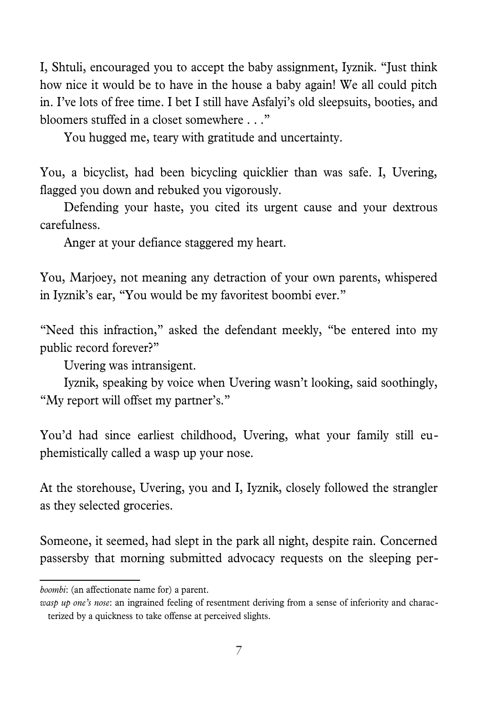I, Shtuli, encouraged you to accept the baby assignment, Iyznik. "Just think how nice it would be to have in the house a baby again! We all could pitch in. I've lots of free time. I bet I still have Asfalyi's old sleepsuits, booties, and bloomers stuffed in a closet somewhere . . ."

You hugged me, teary with gratitude and uncertainty.

You, a bicyclist, had been bicycling quicklier than was safe. I, Uvering, flagged you down and rebuked you vigorously.

Defending your haste, you cited its urgent cause and your dextrous carefulness.

Anger at your defiance staggered my heart.

You, Marjoey, not meaning any detraction of your own parents, whispered in Iyznik's ear, "You would be my favoritest boombi ever."

"Need this infraction," asked the defendant meekly, "be entered into my public record forever?"

Uvering was intransigent.

Iyznik, speaking by voice when Uvering wasn't looking, said soothingly, "My report will offset my partner's."

You'd had since earliest childhood, Uvering, what your family still euphemistically called a wasp up your nose[.](#page-6-0)

At the storehouse, Uvering, you and I, Iyznik, closely followed the strangler as they selected groceries.

Someone, it seemed, had slept in the park all night, despite rain. Concerned passersby that morning submitted advocacy requests on the sleeping per-

*boombi*: (an affectionate name for) a parent.

<span id="page-6-0"></span>*wasp up one's nose*: an ingrained feeling of resentment deriving from a sense of inferiority and characterized by a quickness to take offense at perceived slights.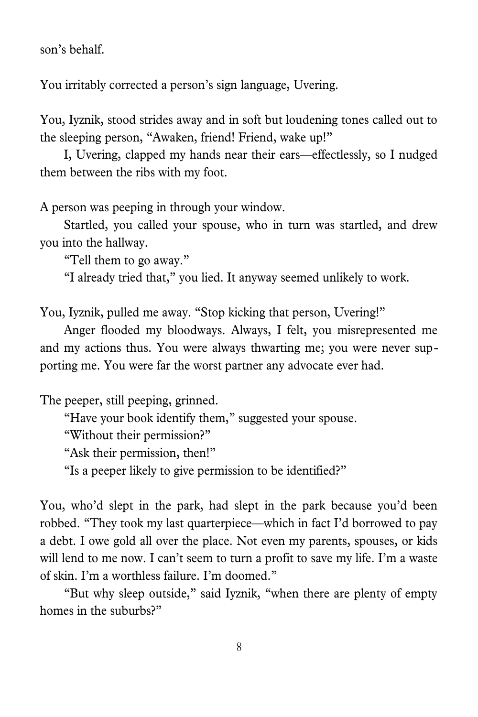son's behalf.

You irritably corrected a person's sign language, Uvering.

You, Iyznik, stood strides away and in soft but loudening tones called out to the sleeping person, "Awaken, friend! Friend, wake up!"

I, Uvering, clapped my hands near their ears—effectlessly, so I nudged them between the ribs with my foot.

A person was peeping in through your window.

Startled, you called your spouse, who in turn was startled, and drew you into the hallway.

"Tell them to go away."

"I already tried that," you lied. It anyway seemed unlikely to work.

You, Iyznik, pulled me away. "Stop kicking that person, Uvering!"

Anger flooded my bloodways. Always, I felt, you misrepresented me and my actions thus. You were always thwarting me; you were never supporting me. You were far the worst partner any advocate ever had.

The peeper, still peeping, grinned.

"Have your book identify them," suggested your spouse.

"Without their permission?"

"Ask their permission, then!"

"Is a peeper likely to give permission to be identified?"

You, who'd slept in the park, had slept in the park because you'd been robbed. "They took my last quarterpiece—which in fact I'd borrowed to pay a debt. I owe gold all over the place. Not even my parents, spouses, or kids will lend to me now. I can't seem to turn a profit to save my life. I'm a waste of skin. I'm a worthless failure. I'm doomed."

"But why sleep outside," said Iyznik, "when there are plenty of empty homes in the suburbs?"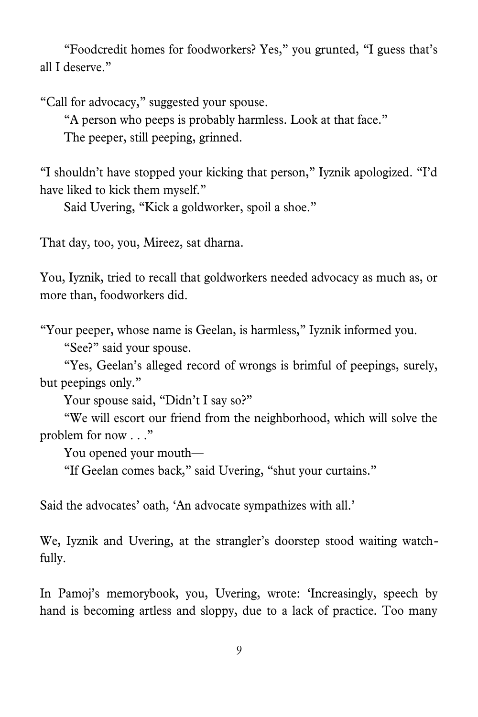"Foodcredit homes for foodworkers? Yes," you grunted, "I guess that's all I deserve."

"Call for advocacy," suggested your spouse.

"A person who peeps is probably harmless. Look at that face."

The peeper, still peeping, grinned.

"I shouldn't have stopped your kicking that person," Iyznik apologized. "I'd have liked to kick them myself."

Said Uvering, "Kick a goldworker, spoil a shoe."

That day, too, you, Mireez, sat dharna.

You, Iyznik, tried to recall that goldworkers needed advocacy as much as, or more than, foodworkers did.

"Your peeper, whose name is Geelan, is harmless," Iyznik informed you. "See?" said your spouse.

"Yes, Geelan's alleged record of wrongs is brimful of peepings, surely, but peepings only."

Your spouse said, "Didn't I say so?"

"We will escort our friend from the neighborhood, which will solve the problem for now . . ."

You opened your mouth—

"If Geelan comes back," said Uvering, "shut your curtains."

Said the advocates' oath, 'An advocate sympathizes with all.'

We, Iyznik and Uvering, at the strangler's doorstep stood waiting watchfully.

In Pamoj's memorybook, you, Uvering, wrote: 'Increasingly, speech by hand is becoming artless and sloppy, due to a lack of practice. Too many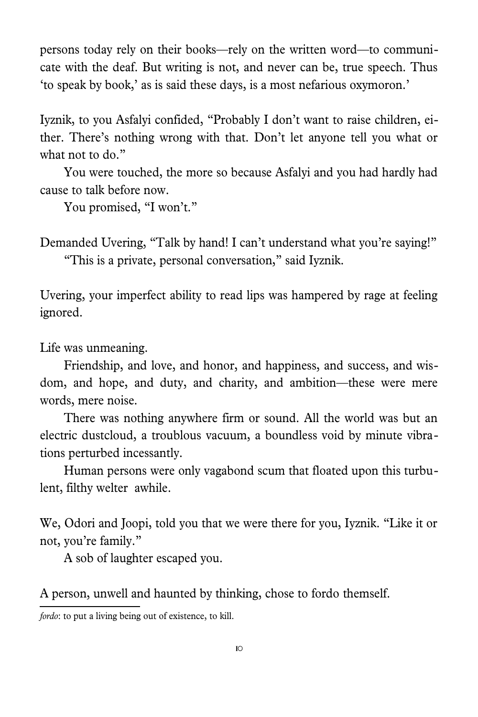persons today rely on their books—rely on the written word—to communicate with the deaf. But writing is not, and never can be, true speech. Thus 'to speak by book,' as is said these days, is a most nefarious oxymoron.'

Iyznik, to you Asfalyi confided, "Probably I don't want to raise children, either. There's nothing wrong with that. Don't let anyone tell you what or what not to do."

You were touched, the more so because Asfalyi and you had hardly had cause to talk before now.

You promised, "I won't."

Demanded Uvering, "Talk by hand! I can't understand what you're saying!" "This is a private, personal conversation," said Iyznik.

Uvering, your imperfect ability to read lips was hampered by rage at feeling ignored.

Life was unmeaning.

Friendship, and love, and honor, and happiness, and success, and wisdom, and hope, and duty, and charity, and ambition—these were mere words, mere noise.

There was nothing anywhere firm or sound. All the world was but an electric dustcloud, a troublous vacuum, a boundless void by minute vibrations perturbed incessantly.

Human persons were only vagabond scum that floated upon this turbulent, filthy welter awhile.

We, Odori and Joopi, told you that we were there for you, Iyznik. "Like it or not, you're family."

A sob of laughter escaped you.

A person, unwell and haunted by thinking, chose to fordothemself.

<span id="page-9-0"></span>*fordo*: to put a living being out of existence, to kill.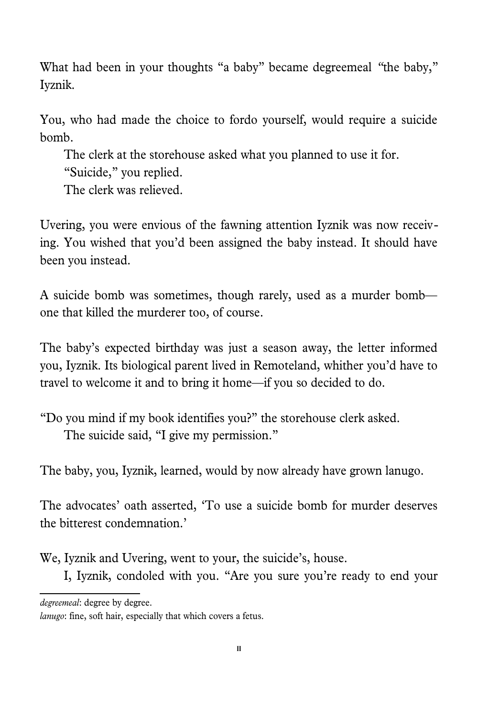What had been in your thoughts "a baby" became degreemeal *"*the baby," Iyznik.

You, who had made the choice to fordo yourself, would require a suicide bomb.

The clerk at the storehouse asked what you planned to use it for.

"Suicide," you replied.

The clerk was relieved.

Uvering, you were envious of the fawning attention Iyznik was now receiving. You wished that you'd been assigned the baby instead. It should have been you instead.

A suicide bomb was sometimes, though rarely, used as a murder bomb one that killed the murderer too, of course.

The baby's expected birthday was just a season away, the letter informed you, Iyznik. Its biological parent lived in Remoteland, whither you'd have to travel to welcome it and to bring it home—if you so decided to do.

"Do you mind if my book identifies you?" the storehouse clerk asked. The suicide said, "I give my permission."

The baby, you, Iyznik, learned, would by now already have grown lanugo[.](#page-10-0)

The advocates' oath asserted, 'To use a suicide bomb for murder deserves the bitterest condemnation.'

We, Iyznik and Uvering, went to your, the suicide's, house.

I, Iyznik, condoled with you. "Are you sure you're ready to end your

*degreemeal*: degree by degree.

<span id="page-10-0"></span>*lanugo*: fine, soft hair, especially that which covers a fetus.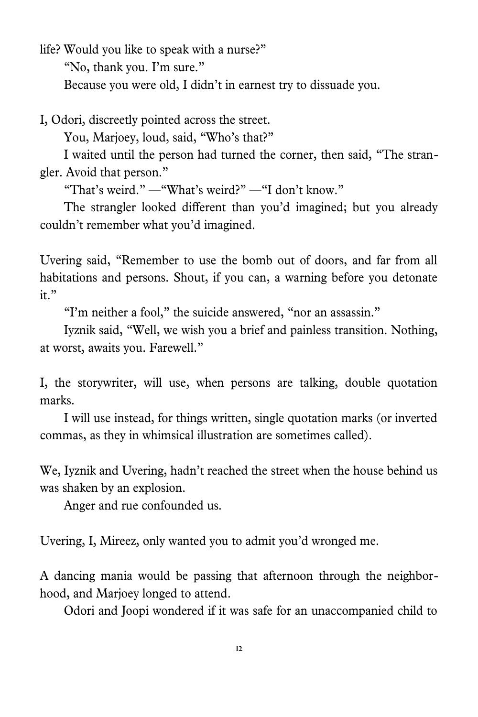life? Would you like to speak with a nurse?" "No, thank you. I'm sure." Because you were old, I didn't in earnest try to dissuade you.

I, Odori, discreetly pointed across the street.

You, Marjoey, loud, said, "Who's that?"

I waited until the person had turned the corner, then said, "The strangler. Avoid that person."

"That's weird." —"What's weird?" —"I don't know."

The strangler looked different than you'd imagined; but you already couldn't remember what you'd imagined.

Uvering said, "Remember to use the bomb out of doors, and far from all habitations and persons. Shout, if you can, a warning before you detonate it."

"I'm neither a fool," the suicide answered, "nor an assassin."

Iyznik said, "Well, we wish you a brief and painless transition. Nothing, at worst, awaits you. Farewell."

I, the storywriter, will use, when persons are talking, double quotation marks.

I will use instead, for things written, single quotation marks (or inverted commas, as they in whimsical illustration are sometimes called).

We, Iyznik and Uvering, hadn't reached the street when the house behind us was shaken by an explosion.

Anger and rue confounded us.

Uvering, I, Mireez, only wanted you to admit you'd wronged me.

A dancing mania would be passing that afternoon through the neighborhood, and Marjoey longed to attend.

Odori and Joopi wondered if it was safe for an unaccompanied child to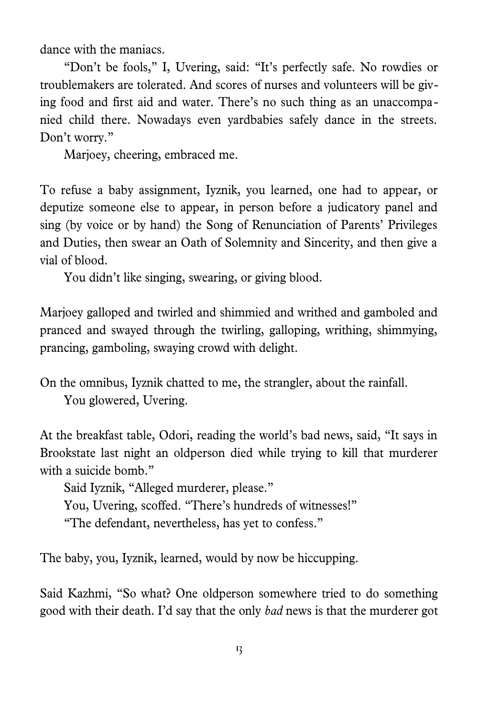dance with the maniacs.

"Don't be fools," I, Uvering, said: "It's perfectly safe. No rowdies or troublemakers are tolerated. And scores of nurses and volunteers will be giving food and first aid and water. There's no such thing as an unaccompanied child there. Nowadays even yardbabies safely dance in the streets. Don't worry."

Marjoey, cheering, embraced me.

To refuse a baby assignment, Iyznik, you learned, one had to appear, or deputize someone else to appear, in person before a judicatory panel and sing (by voice or by hand) the Song of Renunciation of Parents' Privileges and Duties, then swear an Oath of Solemnity and Sincerity, and then give a vial of blood.

You didn't like singing, swearing, or giving blood.

Marjoey galloped and twirled and shimmied and writhed and gamboled and pranced and swayed through the twirling, galloping, writhing, shimmying, prancing, gamboling, swaying crowd with delight.

On the omnibus, Iyznik chatted to me, the strangler, about the rainfall. You glowered, Uvering.

At the breakfast table, Odori, reading the world's bad news, said, "It says in Brookstate last night an oldperson died while trying to kill that murderer with a suicide bomb."

Said Iyznik, "Alleged murderer, please." You, Uvering, scoffed. "There's hundreds of witnesses!"

"The defendant, nevertheless, has yet to confess."

The baby, you, Iyznik, learned, would by now be hiccupping.

Said Kazhmi, "So what? One oldperson somewhere tried to do something good with their death. I'd say that the only *bad* news is that the murderer got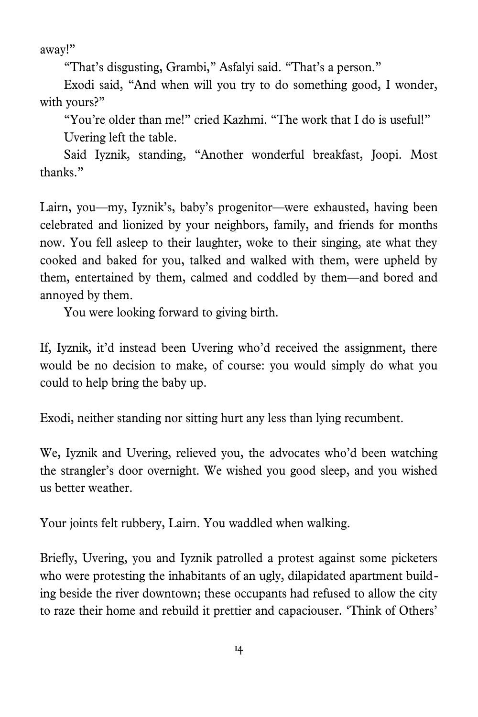away!"

"That's disgusting, Grambi," Asfalyi said. "That's a person."

Exodi said, "And when will you try to do something good, I wonder, with yours?"

"You're older than me!" cried Kazhmi. "The work that I do is useful!" Uvering left the table.

Said Iyznik, standing, "Another wonderful breakfast, Joopi. Most thanks."

Lairn, you—my, Iyznik's, baby's progenitor—were exhausted, having been celebrated and lionized by your neighbors, family, and friends for months now. You fell asleep to their laughter, woke to their singing, ate what they cooked and baked for you, talked and walked with them, were upheld by them, entertained by them, calmed and coddled by them—and bored and annoyed by them.

You were looking forward to giving birth.

If, Iyznik, it'd instead been Uvering who'd received the assignment, there would be no decision to make, of course: you would simply do what you could to help bring the baby up.

Exodi, neither standing nor sitting hurt any less than lying recumbent.

We, Iyznik and Uvering, relieved you, the advocates who'd been watching the strangler's door overnight. We wished you good sleep, and you wished us better weather.

Your joints felt rubbery, Lairn. You waddled when walking.

Briefly, Uvering, you and Iyznik patrolled a protest against some picketers who were protesting the inhabitants of an ugly, dilapidated apartment building beside the river downtown; these occupants had refused to allow the city to raze their home and rebuild it prettier and capaciouser. 'Think of Others'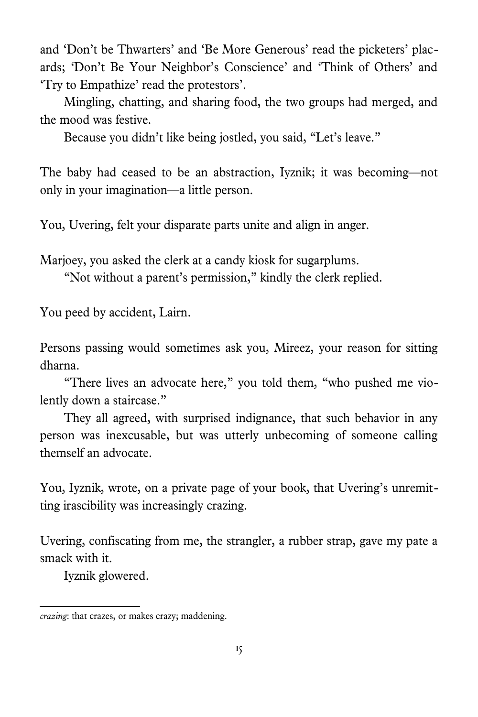and 'Don't be Thwarters' and 'Be More Generous' read the picketers' placards; 'Don't Be Your Neighbor's Conscience' and 'Think of Others' and 'Try to Empathize' read the protestors'.

Mingling, chatting, and sharing food, the two groups had merged, and the mood was festive.

Because you didn't like being jostled, you said, "Let's leave."

The baby had ceased to be an abstraction, Iyznik; it was becoming—not only in your imagination—a little person.

You, Uvering, felt your disparate parts unite and align in anger.

Marjoey, you asked the clerk at a candy kiosk for sugarplums.

"Not without a parent's permission," kindly the clerk replied.

You peed by accident, Lairn.

Persons passing would sometimes ask you, Mireez, your reason for sitting dharna.

"There lives an advocate here," you told them, "who pushed me violently down a staircase."

They all agreed, with surprised indignance, that such behavior in any person was inexcusable, but was utterly unbecoming of someone calling themself an advocate.

You, Iyznik, wrote, on a private page of your book, that Uvering's unremitting irascibility was increasingly crazing[.](#page-14-0)

Uvering, confiscating from me, the strangler, a rubber strap, gave my pate a smack with it.

Iyznik glowered.

<span id="page-14-0"></span>*crazing*: that crazes, or makes crazy; maddening.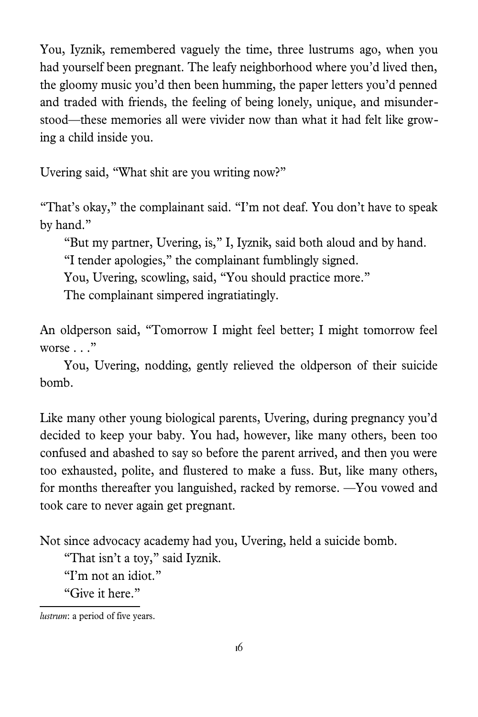You, Iyznik, remembered vaguely the time, three lustrumsago, when you had yourself been pregnant. The leafy neighborhood where you'd lived then, the gloomy music you'd then been humming, the paper letters you'd penned and traded with friends, the feeling of being lonely, unique, and misunderstood—these memories all were vivider now than what it had felt like growing a child inside you.

Uvering said, "What shit are you writing now?"

"That's okay," the complainant said. "I'm not deaf. You don't have to speak by hand."

"But my partner, Uvering, is," I, Iyznik, said both aloud and by hand.

"I tender apologies," the complainant fumblingly signed.

You, Uvering, scowling, said, "You should practice more."

The complainant simpered ingratiatingly.

An oldperson said, "Tomorrow I might feel better; I might tomorrow feel worse  $\ldots$ "

You, Uvering, nodding, gently relieved the oldperson of their suicide bomb.

Like many other young biological parents, Uvering, during pregnancy you'd decided to keep your baby. You had, however, like many others, been too confused and abashed to say so before the parent arrived, and then you were too exhausted, polite, and flustered to make a fuss. But, like many others, for months thereafter you languished, racked by remorse. —You vowed and took care to never again get pregnant.

Not since advocacy academy had you, Uvering, held a suicide bomb.

"That isn't a toy," said Iyznik.

"I'm not an idiot."

"Give it here."

<span id="page-15-0"></span>*lustrum*: a period of five years.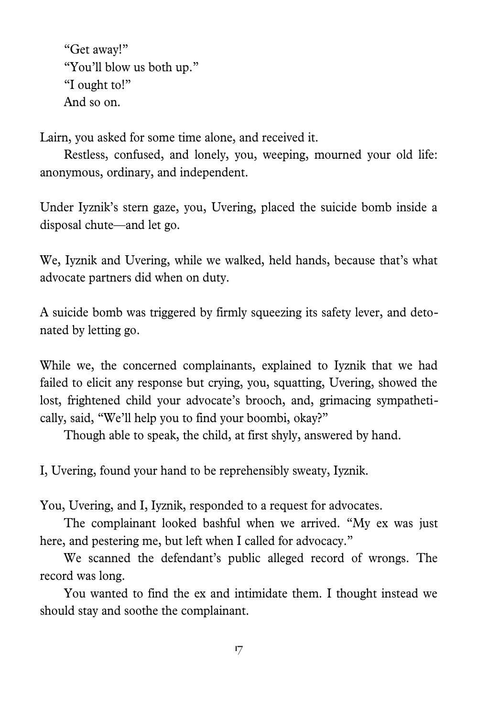"Get away!" "You'll blow us both up." "I ought to!" And so on.

Lairn, you asked for some time alone, and received it.

Restless, confused, and lonely, you, weeping, mourned your old life: anonymous, ordinary, and independent.

Under Iyznik's stern gaze, you, Uvering, placed the suicide bomb inside a disposal chute—and let go.

We, Iyznik and Uvering, while we walked, held hands, because that's what advocate partners did when on duty.

A suicide bomb was triggered by firmly squeezing its safety lever, and detonated by letting go.

While we, the concerned complainants, explained to Iyznik that we had failed to elicit any response but crying, you, squatting, Uvering, showed the lost, frightened child your advocate's brooch, and, grimacing sympathetically, said, "We'll help you to find your boombi, okay?"

Though able to speak, the child, at first shyly, answered by hand.

I, Uvering, found your hand to be reprehensibly sweaty, Iyznik.

You, Uvering, and I, Iyznik, responded to a request for advocates.

The complainant looked bashful when we arrived. "My ex was just here, and pestering me, but left when I called for advocacy."

We scanned the defendant's public alleged record of wrongs. The record was long.

You wanted to find the ex and intimidate them. I thought instead we should stay and soothe the complainant.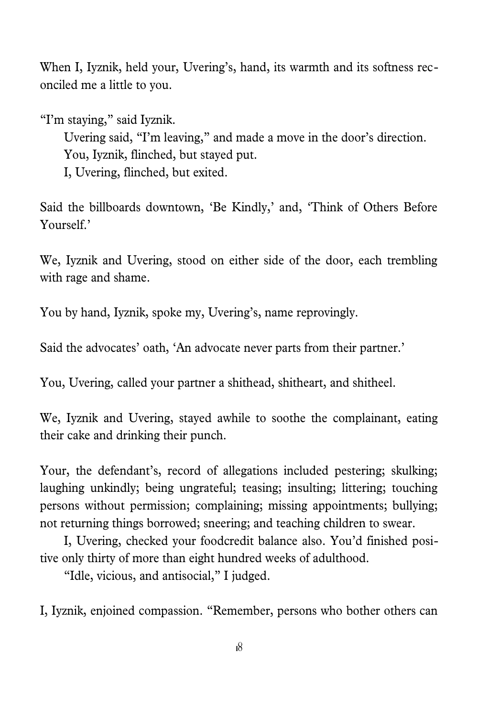When I, Iyznik, held your, Uvering's, hand, its warmth and its softness reconciled me a little to you.

"I'm staying," said Iyznik.

Uvering said, "I'm leaving," and made a move in the door's direction. You, Iyznik, flinched, but stayed put. I, Uvering, flinched, but exited.

Said the billboards downtown, 'Be Kindly,' and, 'Think of Others Before Yourself.'

We, Iyznik and Uvering, stood on either side of the door, each trembling with rage and shame.

You by hand, Iyznik, spoke my, Uvering's, name reprovingly.

Said the advocates' oath, 'An advocate never parts from their partner.'

You, Uvering, called your partner a shithead, shitheart, and shitheel.

We, Iyznik and Uvering, stayed awhile to soothe the complainant, eating their cake and drinking their punch.

Your, the defendant's, record of allegations included pestering; skulking; laughing unkindly; being ungrateful; teasing; insulting; littering; touching persons without permission; complaining; missing appointments; bullying; not returning things borrowed; sneering; and teaching children to swear.

I, Uvering, checked your foodcredit balance also. You'd finished positive only thirty of more than eight hundred weeks of adulthood.

"Idle, vicious, and antisocial," I judged.

I, Iyznik, enjoined compassion. "Remember, persons who bother others can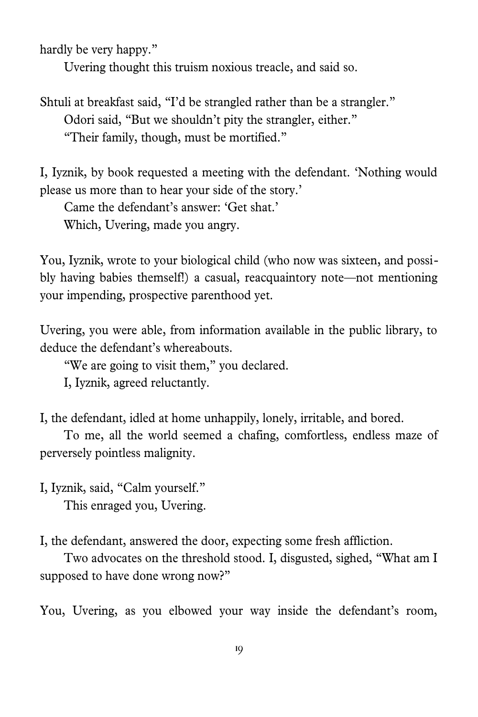hardly be very happy."

Uvering thought this truism noxious treacle, and said so.

Shtuli at breakfast said, "I'd be strangled rather than be a strangler." Odori said, "But we shouldn't pity the strangler, either." "Their family, though, must be mortified."

I, Iyznik, by book requested a meeting with the defendant. 'Nothing would please us more than to hear your side of the story.'

Came the defendant's answer: 'Get shat.'

Which, Uvering, made you angry.

You, Iyznik, wrote to your biological child (who now was sixteen, and possibly having babies themself!) a casual, reacquaintory note—not mentioning your impending, prospective parenthood yet.

Uvering, you were able, from information available in the public library, to deduce the defendant's whereabouts.

"We are going to visit them," you declared.

I, Iyznik, agreed reluctantly.

I, the defendant, idled at home unhappily, lonely, irritable, and bored.

To me, all the world seemed a chafing, comfortless, endless maze of perversely pointless malignity.

I, Iyznik, said, "Calm yourself." This enraged you, Uvering.

I, the defendant, answered the door, expecting some fresh affliction.

Two advocates on the threshold stood. I, disgusted, sighed, "What am I supposed to have done wrong now?"

You, Uvering, as you elbowed your way inside the defendant's room,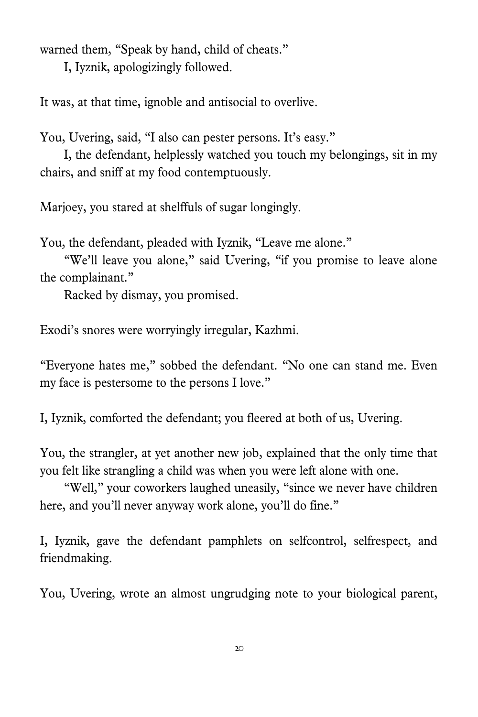warned them, "Speak by hand, child of cheats."

I, Iyznik, apologizingly followed.

It was, at that time, ignoble and antisocial to overlive.

You, Uvering, said, "I also can pester persons. It's easy."

I, the defendant, helplessly watched you touch my belongings, sit in my chairs, and sniff at my food contemptuously.

Marjoey, you stared at shelffuls of sugar longingly.

You, the defendant, pleaded with Iyznik, "Leave me alone."

"We'll leave you alone," said Uvering, "if you promise to leave alone the complainant."

Racked by dismay, you promised.

Exodi's snores were worryingly irregular, Kazhmi.

"Everyone hates me," sobbed the defendant. "No one can stand me. Even my face is pestersome to the persons I love."

I, Iyznik, comforted the defendant; you fleered at both of us, Uvering.

You, the strangler, at yet another new job, explained that the only time that you felt like strangling a child was when you were left alone with one.

"Well," your coworkers laughed uneasily, "since we never have children here, and you'll never anyway work alone, you'll do fine."

I, Iyznik, gave the defendant pamphlets on selfcontrol, selfrespect, and friendmaking.

You, Uvering, wrote an almost ungrudging note to your biological parent,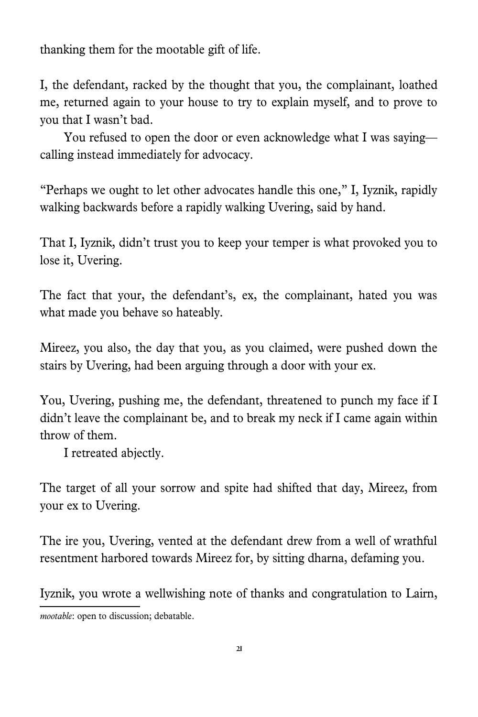thanking them for the mootablegift of life.

I, the defendant, racked by the thought that you, the complainant, loathed me, returned again to your house to try to explain myself, and to prove to you that I wasn't bad.

You refused to open the door or even acknowledge what I was saying calling instead immediately for advocacy.

"Perhaps we ought to let other advocates handle this one," I, Iyznik, rapidly walking backwards before a rapidly walking Uvering, said by hand.

That I, Iyznik, didn't trust you to keep your temper is what provoked you to lose it, Uvering.

The fact that your, the defendant's, ex, the complainant, hated you was what made you behave so hateably.

Mireez, you also, the day that you, as you claimed, were pushed down the stairs by Uvering, had been arguing through a door with your ex.

You, Uvering, pushing me, the defendant, threatened to punch my face if I didn't leave the complainant be, and to break my neck if I came again within throw of them.

I retreated abjectly.

The target of all your sorrow and spite had shifted that day, Mireez, from your ex to Uvering.

The ire you, Uvering, vented at the defendant drew from a well of wrathful resentment harbored towards Mireez for, by sitting dharna, defaming you.

Iyznik, you wrote a wellwishing note of thanks and congratulation to Lairn,

<span id="page-20-0"></span>*mootable*: open to discussion; debatable.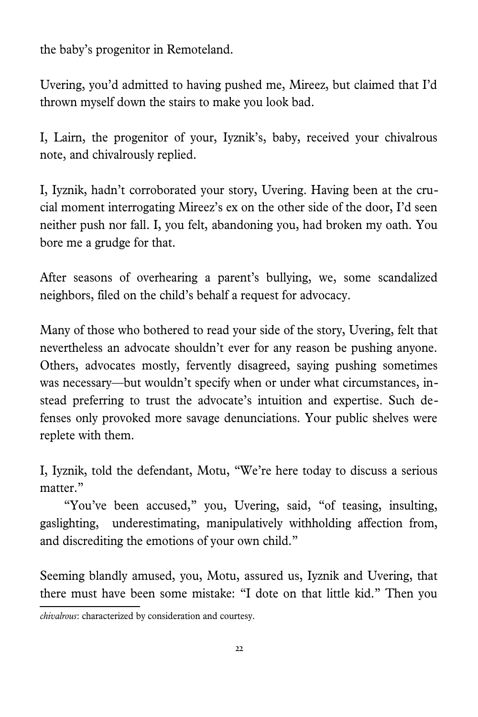the baby's progenitor in Remoteland.

Uvering, you'd admitted to having pushed me, Mireez, but claimed that I'd thrown myself down the stairs to make you look bad.

I, Lairn, the progenitor of your, Iyznik's, baby, received your chivalrou[s](#page-21-0) note, and chivalrously replied.

I, Iyznik, hadn't corroborated your story, Uvering. Having been at the crucial moment interrogating Mireez's ex on the other side of the door, I'd seen neither push nor fall. I, you felt, abandoning you, had broken my oath. You bore me a grudge for that.

After seasons of overhearing a parent's bullying, we, some scandalized neighbors, filed on the child's behalf a request for advocacy.

Many of those who bothered to read your side of the story, Uvering, felt that nevertheless an advocate shouldn't ever for any reason be pushing anyone. Others, advocates mostly, fervently disagreed, saying pushing sometimes was necessary—but wouldn't specify when or under what circumstances, instead preferring to trust the advocate's intuition and expertise. Such defenses only provoked more savage denunciations. Your public shelves were replete with them.

I, Iyznik, told the defendant, Motu, "We're here today to discuss a serious matter."

"You've been accused," you, Uvering, said, "of teasing, insulting, gaslighting, underestimating, manipulatively withholding affection from, and discrediting the emotions of your own child."

Seeming blandly amused, you, Motu, assured us, Iyznik and Uvering, that there must have been some mistake: "I dote on that little kid." Then you

<span id="page-21-0"></span>*chivalrous*: characterized by consideration and courtesy.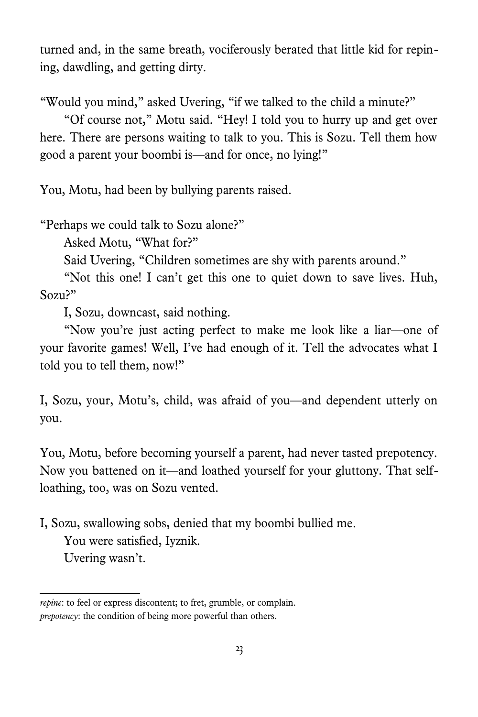turned and, in the same breath, vociferously berated that little kid for repining, dawdling, and getting dirty.

"Would you mind," asked Uvering, "if we talked to the child a minute?"

"Of course not," Motu said. "Hey! I told you to hurry up and get over here. There are persons waiting to talk to you. This is Sozu. Tell them how good a parent your boombi is—and for once, no lying!"

You, Motu, had been by bullying parents raised.

"Perhaps we could talk to Sozu alone?"

Asked Motu, "What for?"

Said Uvering, "Children sometimes are shy with parents around."

"Not this one! I can't get this one to quiet down to save lives. Huh, Sozu?"

I, Sozu, downcast, said nothing.

"Now you're just acting perfect to make me look like a liar—one of your favorite games! Well, I've had enough of it. Tell the advocates what I told you to tell them, now!"

I, Sozu, your, Motu's, child, was afraid of you—and dependent utterly on you.

You, Motu, before becoming yourself a parent, had never tasted prepotency[.](#page-22-0) Now you battened on it—and loathed yourself for your gluttony. That selfloathing, too, was on Sozu vented.

I, Sozu, swallowing sobs, denied that my boombi bullied me.

You were satisfied, Iyznik.

Uvering wasn't.

<span id="page-22-0"></span>*repine*: to feel or express discontent; to fret, grumble, or complain. *prepotency*: the condition of being more powerful than others.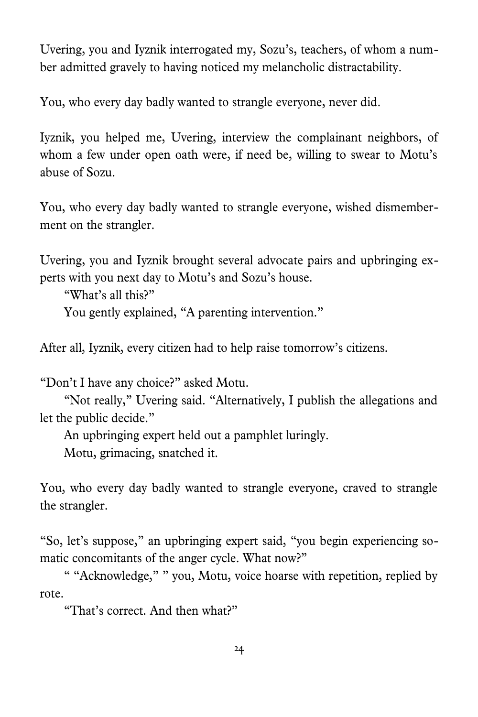Uvering, you and Iyznik interrogated my, Sozu's, teachers, of whom a number admitted gravely to having noticed my melancholic distractability.

You, who every day badly wanted to strangle everyone, never did.

Iyznik, you helped me, Uvering, interview the complainant neighbors, of whom a few under open oath were, if need be, willing to swear to Motu's abuse of Sozu.

You, who every day badly wanted to strangle everyone, wished dismemberment on the strangler.

Uvering, you and Iyznik brought several advocate pairs and upbringing experts with you next day to Motu's and Sozu's house.

"What's all this?"

You gently explained, "A parenting intervention."

After all, Iyznik, every citizen had to help raise tomorrow's citizens.

"Don't I have any choice?" asked Motu.

"Not really," Uvering said. "Alternatively, I publish the allegations and let the public decide."

An upbringing expert held out a pamphlet luringly.

Motu, grimacing, snatched it.

You, who every day badly wanted to strangle everyone, craved to strangle the strangler.

"So, let's suppose," an upbringing expert said, "you begin experiencing somatic concomitants of the anger cycle. What now?"

" "Acknowledge," " you, Motu, voice hoarse with repetition, replied by rote.

"That's correct. And then what?"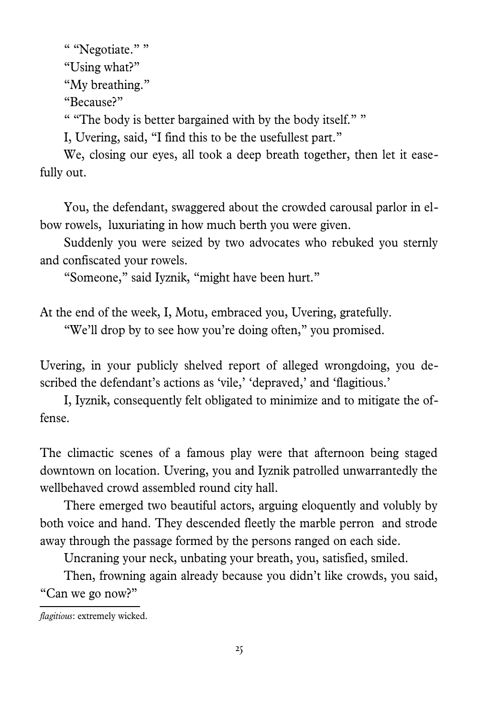" "Negotiate." " "Using what?" "My breathing." "Because?" " "The body is better bargained with by the body itself." " I, Uvering, said, "I find this to be the usefullest part."

We, closing our eyes, all took a deep breath together, then let it easefully out.

You, the defendant, swaggered about the crowded carousal parlor in elbow rowels, luxuriating in how much berth you were given.

Suddenly you were seized by two advocates who rebuked you sternly and confiscated your rowels.

"Someone," said Iyznik, "might have been hurt."

At the end of the week, I, Motu, embraced you, Uvering, gratefully.

"We'll drop by to see how you're doing often," you promised.

Uvering, in your publicly shelved report of alleged wrongdoing, you described the defendant's actions as 'vile,' 'depraved,' and 'flagitious.'

I, Iyznik, consequently felt obligated to minimize and to mitigate the offense.

The climactic scenes of a famous play were that afternoon being staged downtown on location. Uvering, you and Iyznik patrolled unwarrantedly the wellbehaved crowd assembled round city hall.

There emerged two beautiful actors, arguing eloquently and volubly by both voice and hand. They descended fleetly the marble perron and strode away through the passage formed by the persons ranged on each side.

Uncraning your neck, unbating your breath, you, satisfied, smiled.

Then, frowning again already because you didn't like crowds, you said, "Can we go now?"

*flagitious*: extremely wicked.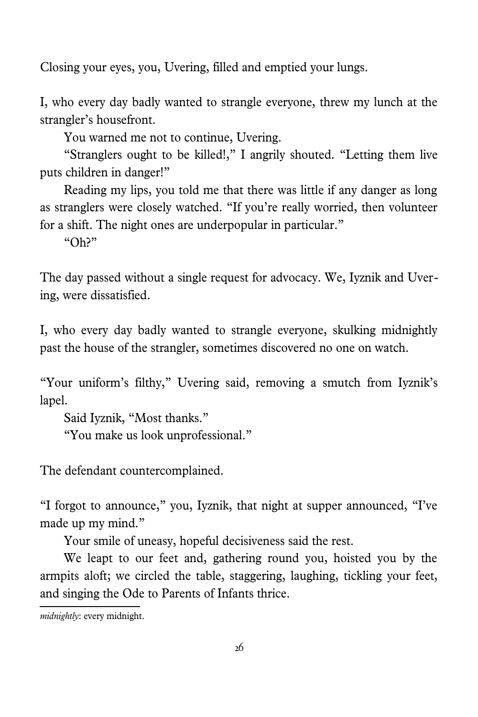Closing your eyes, you, Uvering, filled and emptied your lungs.

I, who every day badly wanted to strangle everyone, threw my lunch at the strangler's housefront.

You warned me not to continue, Uvering.

"Stranglers ought to be killed!," I angrily shouted. "Letting them live puts children in danger!"

Reading my lips, you told me that there was little if any danger as long as stranglers were closely watched. "If you're really worried, then volunteer for a shift. The night ones are underpopular in particular."

 $"Oh?"$ 

The day passed without a single request for advocacy. We, Iyznik and Uvering, were dissatisfied.

I, who every day badly wanted to strangle everyone, skulking midnightl[y](#page-25-0) past the house of the strangler, sometimes discovered no one on watch.

"Your uniform's filthy," Uvering said, removing a smutch from Iyznik's lapel.

Said Iyznik, "Most thanks." "You make us look unprofessional."

The defendant countercomplained.

"I forgot to announce," you, Iyznik, that night at supper announced, "I've made up my mind."

Your smile of uneasy, hopeful decisiveness said the rest.

We leapt to our feet and, gathering round you, hoisted you by the armpits aloft; we circled the table, staggering, laughing, tickling your feet, and singing the Ode to Parents of Infants thrice.

<span id="page-25-0"></span>*midnightly*: every midnight.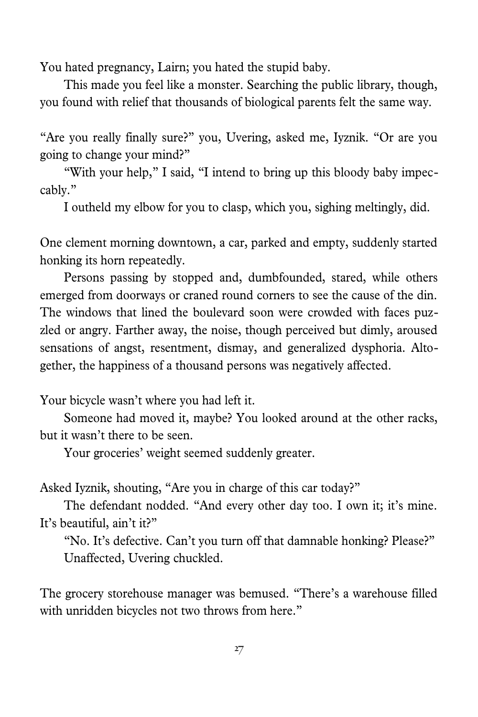You hated pregnancy, Lairn; you hated the stupid baby.

This made you feel like a monster. Searching the public library, though, you found with relief that thousands of biological parents felt the same way.

"Are you really finally sure?" you, Uvering, asked me, Iyznik. "Or are you going to change your mind?"

"With your help," I said, "I intend to bring up this bloody baby impeccably."

I outheld my elbow for you to clasp, which you, sighing meltingly, did.

One clement morning downtown, a car, parked and empty, suddenly started honking its horn repeatedly.

Persons passing by stopped and, dumbfounded, stared, while others emerged from doorways or craned round corners to see the cause of the din. The windows that lined the boulevard soon were crowded with faces puzzled or angry. Farther away, the noise, though perceived but dimly, aroused sensations of angst, resentment, dismay, and generalized dysphoria. Altogether, the happiness of a thousand persons was negatively affected.

Your bicycle wasn't where you had left it.

Someone had moved it, maybe? You looked around at the other racks, but it wasn't there to be seen.

Your groceries' weight seemed suddenly greater.

Asked Iyznik, shouting, "Are you in charge of this car today?"

The defendant nodded. "And every other day too. I own it; it's mine. It's beautiful, ain't it?"

"No. It's defective. Can't you turn off that damnable honking? Please?" Unaffected, Uvering chuckled.

The grocery storehouse manager was bemused. "There's a warehouse filled with unridden bicycles not two throws from here."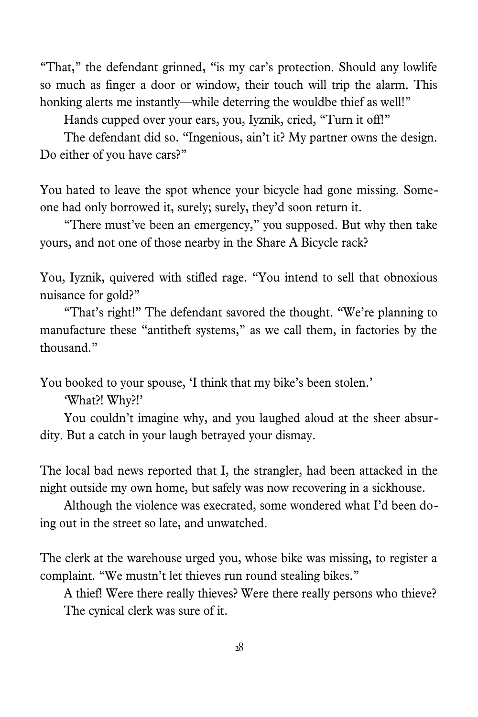"That," the defendant grinned, "is my car's protection. Should any lowlife so much as finger a door or window, their touch will trip the alarm. This honking alerts me instantly—while deterring the wouldbe thief as well!"

Hands cupped over your ears, you, Iyznik, cried, "Turn it off!"

The defendant did so. "Ingenious, ain't it? My partner owns the design. Do either of you have cars?"

You hated to leave the spot whence your bicycle had gone missing. Someone had only borrowed it, surely; surely, they'd soon return it.

"There must've been an emergency," you supposed. But why then take yours, and not one of those nearby in the Share A Bicycle rack?

You, Iyznik, quivered with stifled rage. "You intend to sell that obnoxious nuisance for gold?"

"That's right!" The defendant savored the thought. "We're planning to manufacture these "antitheft systems," as we call them, in factories by the thousand."

You booked to your spouse, 'I think that my bike's been stolen.'

'What?! Why?!'

You couldn't imagine why, and you laughed aloud at the sheer absurdity. But a catch in your laugh betrayed your dismay.

The local bad news reported that I, the strangler, had been attacked in the night outside my own home, but safely was now recovering in a sickhouse.

Although the violence was execrated, some wondered what I'd been doing out in the street so late, and unwatched.

The clerk at the warehouse urged you, whose bike was missing, to register a complaint. "We mustn't let thieves run round stealing bikes."

A thief! Were there really thieves? Were there really persons who thieve? The cynical clerk was sure of it.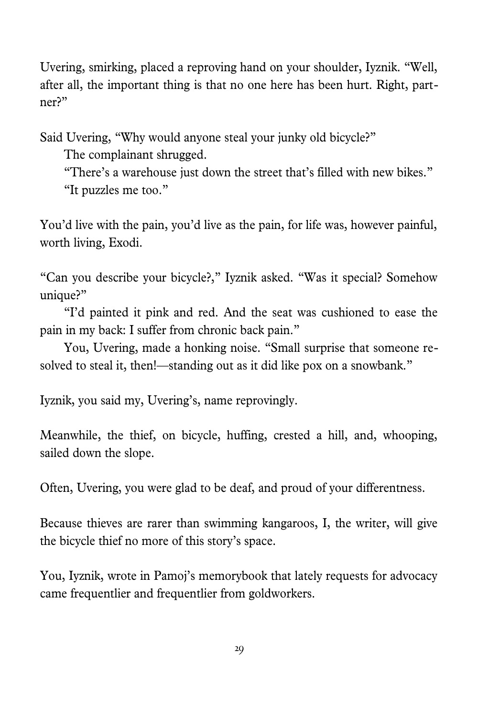Uvering, smirking, placed a reproving hand on your shoulder, Iyznik. "Well, after all, the important thing is that no one here has been hurt. Right, partner?"

Said Uvering, "Why would anyone steal your junky old bicycle?"

The complainant shrugged.

"There's a warehouse just down the street that's filled with new bikes." "It puzzles me too."

You'd live with the pain, you'd live as the pain, for life was, however painful, worth living, Exodi.

"Can you describe your bicycle?," Iyznik asked. "Was it special? Somehow unique?"

"I'd painted it pink and red. And the seat was cushioned to ease the pain in my back: I suffer from chronic back pain."

You, Uvering, made a honking noise. "Small surprise that someone resolved to steal it, then!—standing out as it did like pox on a snowbank."

Iyznik, you said my, Uvering's, name reprovingly.

Meanwhile, the thief, on bicycle, huffing, crested a hill, and, whooping, sailed down the slope.

Often, Uvering, you were glad to be deaf, and proud of your differentness.

Because thieves are rarer than swimming kangaroos, I, the writer, will give the bicycle thief no more of this story's space.

You, Iyznik, wrote in Pamoj's memorybook that lately requests for advocacy came frequentlier and frequentlier from goldworkers.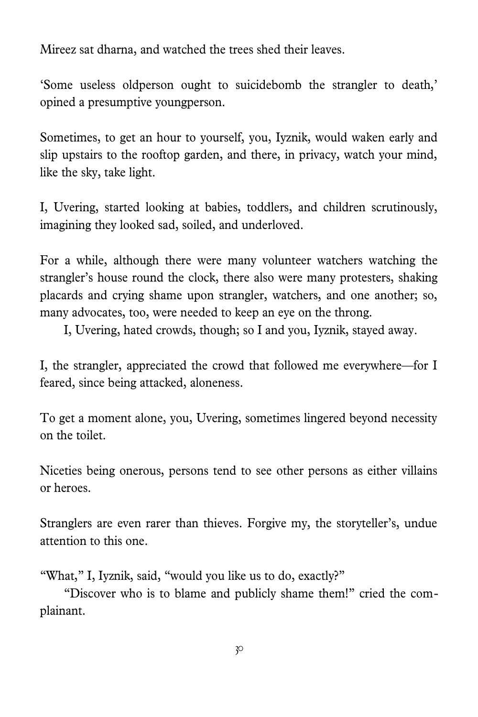Mireez sat dharna, and watched the trees shed their leaves.

'Some useless oldperson ought to suicidebomb the strangler to death,' opined a presumptive youngperson.

Sometimes, to get an hour to yourself, you, Iyznik, would waken early and slip upstairs to the rooftop garden, and there, in privacy, watch your mind, like the sky, take light.

I, Uvering, started looking at babies, toddlers, and children scrutinously, imagining they looked sad, soiled, and underloved.

For a while, although there were many volunteer watchers watching the strangler's house round the clock, there also were many protesters, shaking placards and crying shame upon strangler, watchers, and one another; so, many advocates, too, were needed to keep an eye on the throng.

I, Uvering, hated crowds, though; so I and you, Iyznik, stayed away.

I, the strangler, appreciated the crowd that followed me everywhere—for I feared, since being attacked, aloneness.

To get a moment alone, you, Uvering, sometimes lingered beyond necessity on the toilet.

Niceties being onerous, persons tend to see other persons as either villains or heroes.

Stranglers are even rarer than thieves. Forgive my, the storyteller's, undue attention to this one.

"What," I, Iyznik, said, "would you like us to do, exactly?"

"Discover who is to blame and publicly shame them!" cried the complainant.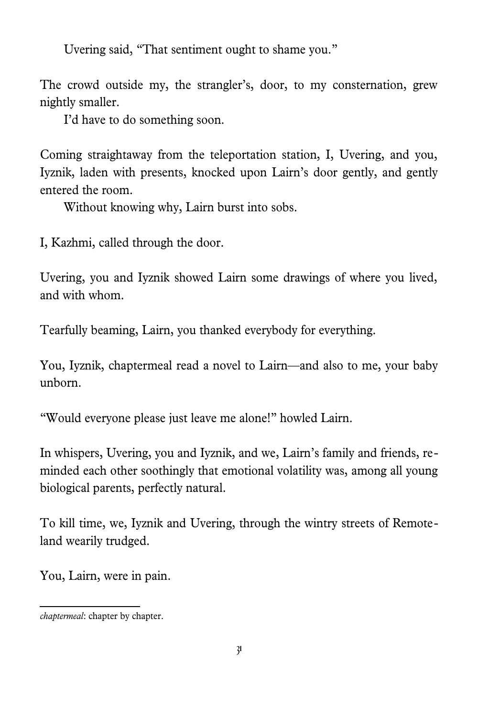Uvering said, "That sentiment ought to shame you."

The crowd outside my, the strangler's, door, to my consternation, grew nightly smaller.

I'd have to do something soon.

Coming straightaway from the teleportation station, I, Uvering, and you, Iyznik, laden with presents, knocked upon Lairn's door gently, and gently entered the room.

Without knowing why, Lairn burst into sobs.

I, Kazhmi, called through the door.

Uvering, you and Iyznik showed Lairn some drawings of where you lived, and with whom.

Tearfully beaming, Lairn, you thanked everybody for everything.

You, Iyznik, chaptermeal read a novel to Lairn—and also to me, your baby unborn.

"Would everyone please just leave me alone!" howled Lairn.

In whispers, Uvering, you and Iyznik, and we, Lairn's family and friends, reminded each other soothingly that emotional volatility was, among all young biological parents, perfectly natural.

To kill time, we, Iyznik and Uvering, through the wintry streets of Remoteland wearily trudged.

You, Lairn, were in pain.

*chaptermeal*: chapter by chapter.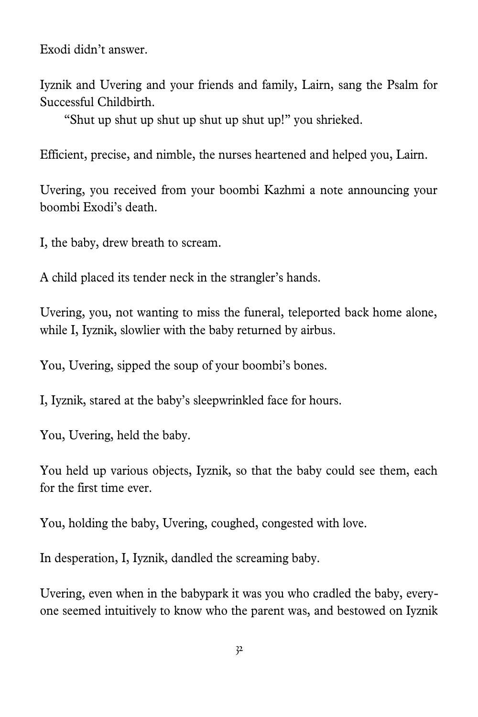Exodi didn't answer.

Iyznik and Uvering and your friends and family, Lairn, sang the Psalm for Successful Childbirth.

"Shut up shut up shut up shut up shut up!" you shrieked.

Efficient, precise, and nimble, the nurses heartened and helped you, Lairn.

Uvering, you received from your boombi Kazhmi a note announcing your boombi Exodi's death.

I, the baby, drew breath to scream.

A child placed its tender neck in the strangler's hands.

Uvering, you, not wanting to miss the funeral, teleported back home alone, while I, Iyznik, slowlier with the baby returned by airbus.

You, Uvering, sipped the soup of your boombi's bones.

I, Iyznik, stared at the baby's sleepwrinkled face for hours.

You, Uvering, held the baby.

You held up various objects, Iyznik, so that the baby could see them, each for the first time ever.

You, holding the baby, Uvering, coughed, congested with love.

In desperation, I, Iyznik, dandled the screaming baby.

Uvering, even when in the babypark it was you who cradled the baby, everyone seemed intuitively to know who the parent was, and bestowed on Iyznik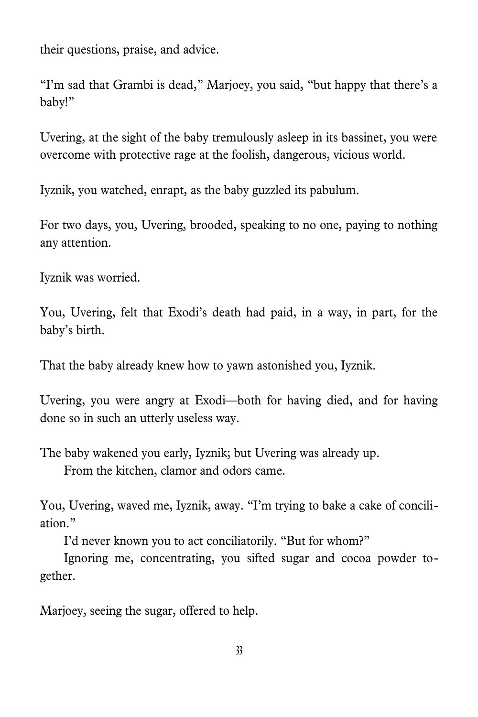their questions, praise, and advice.

"I'm sad that Grambi is dead," Marjoey, you said, "but happy that there's a baby!"

Uvering, at the sight of the baby tremulously asleep in its bassinet, you were overcome with protective rage at the foolish, dangerous, vicious world.

Iyznik, you watched, enrapt, as the baby guzzled its pabulum.

For two days, you, Uvering, brooded, speaking to no one, paying to nothing any attention.

Iyznik was worried.

You, Uvering, felt that Exodi's death had paid, in a way, in part, for the baby's birth.

That the baby already knew how to yawn astonished you, Iyznik.

Uvering, you were angry at Exodi—both for having died, and for having done so in such an utterly useless way.

The baby wakened you early, Iyznik; but Uvering was already up. From the kitchen, clamor and odors came.

You, Uvering, waved me, Iyznik, away. "I'm trying to bake a cake of conciliation."

I'd never known you to act conciliatorily. "But for whom?"

Ignoring me, concentrating, you sifted sugar and cocoa powder together.

Marjoey, seeing the sugar, offered to help.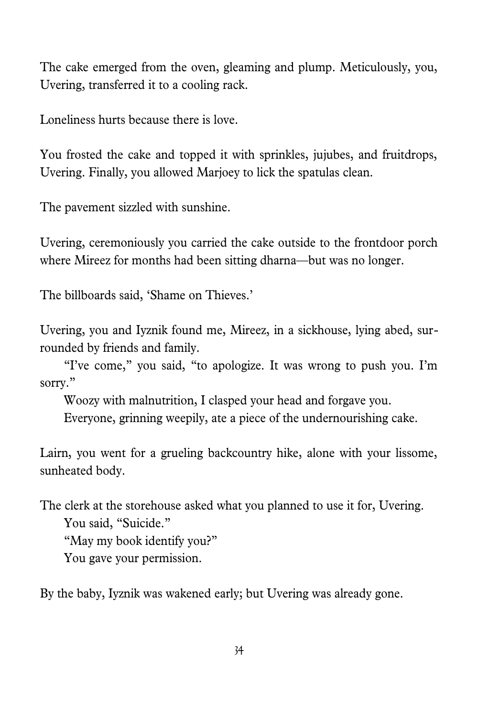The cake emerged from the oven, gleaming and plump. Meticulously, you, Uvering, transferred it to a cooling rack.

Loneliness hurts because there is love.

You frosted the cake and topped it with sprinkles, jujubes, and fruitdrops, Uvering. Finally, you allowed Marjoey to lick the spatulas clean.

The pavement sizzled with sunshine.

Uvering, ceremoniously you carried the cake outside to the frontdoor porch where Mireez for months had been sitting dharna—but was no longer.

The billboards said, 'Shame on Thieves.'

Uvering, you and Iyznik found me, Mireez, in a sickhouse, lying abed, surrounded by friends and family.

"I've come," you said, "to apologize. It was wrong to push you. I'm sorry."

Woozy with malnutrition, I clasped your head and forgave you.

Everyone, grinning weepily, ate a piece of the undernourishing cake.

Lairn, you went for a grueling backcountry hike, alone with your lissome, sunheated body.

The clerk at the storehouse asked what you planned to use it for, Uvering. You said, "Suicide." "May my book identify you?"

You gave your permission.

By the baby, Iyznik was wakened early; but Uvering was already gone.